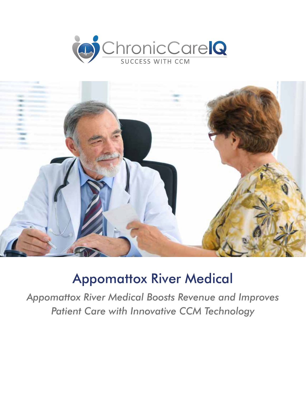



# Appomattox River Medical

*Appomattox River Medical Boosts Revenue and Improves Patient Care with Innovative CCM Technology*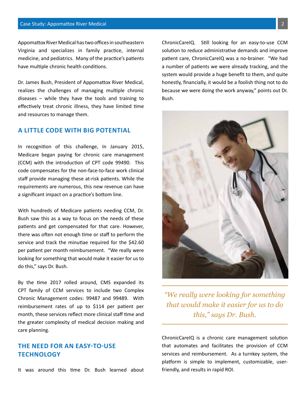Appomattox River Medical has two offices in southeastern Virginia and specializes in family practice, internal medicine, and pediatrics. Many of the practice's patients have multiple chronic health conditions.

Dr. James Bush, President of Appomattox River Medical, realizes the challenges of managing multiple chronic diseases – while they have the tools and training to effectively treat chronic illness, they have limited time and resources to manage them.

### **A LITTLE CODE WITH BIG POTENTIAL**

In recognition of this challenge, In January 2015, Medicare began paying for chronic care management (CCM) with the introduction of CPT code 99490. This code compensates for the non-face-to-face work clinical staff provide managing these at-risk patients. While the requirements are numerous, this new revenue can have a significant impact on a practice's bottom line.

With hundreds of Medicare patients needing CCM, Dr. Bush saw this as a way to focus on the needs of these patients and get compensated for that care. However, there was often not enough time or staff to perform the service and track the minutiae required for the \$42.60 per patient per month reimbursement. "We really were looking for something that would make it easier for us to do this," says Dr. Bush.

By the time 2017 rolled around, CMS expanded its CPT family of CCM services to include two Complex Chronic Management codes: 99487 and 99489. With reimbursement rates of up to \$114 per patient per month, these services reflect more clinical staff time and the greater complexity of medical decision making and care planning.

## **THE NEED FOR AN EASY-TO-USE TECHNOLOGY**

It was around this time Dr. Bush learned about

ChronicCareIQ. Still looking for an easy-to-use CCM solution to reduce administrative demands and improve patient care, ChronicCareIQ was a no-brainer. "We had a number of patients we were already tracking, and the system would provide a huge benefit to them, and quite honestly, financially, it would be a foolish thing not to do because we were doing the work anyway," points out Dr. Bush.



*"We really were looking for something that would make it easier for us to do this," says Dr. Bush.*

ChronicCareIQ is a chronic care management solution that automates and facilitates the provision of CCM services and reimbursement. As a turnkey system, the platform is simple to implement, customizable, userfriendly, and results in rapid ROI.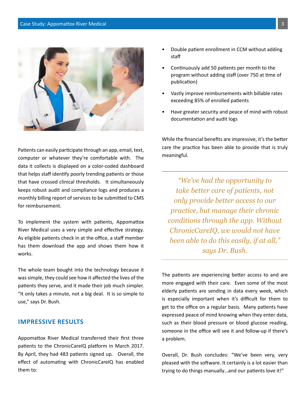

Patients can easily participate through an app, email, text, computer or whatever they're comfortable with. The data it collects is displayed on a color-coded dashboard that helps staff identify poorly trending patients or those that have crossed clinical thresholds. It simultaneously keeps robust audit and compliance logs and produces a monthly billing report of services to be submitted to CMS for reimbursement.

To implement the system with patients, Appomattox River Medical uses a very simple and effective strategy. As eligible patients check in at the office, a staff member has them download the app and shows them how it works.

The whole team bought into the technology because it was simple, they could see how it affected the lives of the patients they serve, and it made their job much simpler. "It only takes a minute, not a big deal. It is so simple to use," says Dr. Bush.

#### **IMPRESSIVE RESULTS**

Appomattox River Medical transferred their first three patients to the ChronicCareIQ platform in March 2017. By April, they had 483 patients signed up. Overall, the effect of automating with ChronicCareIQ has enabled them to:

- Double patient enrollment in CCM without adding staff
- Continuously add 50 patients per month to the program without adding staff (over 750 at time of publication)
- Vastly improve reimbursements with billable rates exceeding 85% of enrolled patients
- Have greater security and peace of mind with robust documentation and audit logs

While the financial benefits are impressive, it's the better care the practice has been able to provide that is truly meaningful.

*"We've had the opportunity to take better care of patients, not only provide better access to our practice, but manage their chronic conditions through the app. Without ChronicCareIQ, we would not have been able to do this easily, if at all," says Dr. Bush.* 

The patients are experiencing better access to and are more engaged with their care. Even some of the most elderly patients are sending in data every week, which is especially important when it's difficult for them to get to the office on a regular basis. Many patients have expressed peace of mind knowing when they enter data, such as their blood pressure or blood glucose reading, someone in the office will see it and follow-up if there's a problem.

Overall, Dr. Bush concludes: "We've been very, very pleased with the software. It certainly is a lot easier than trying to do things manually…and our patients love it!"